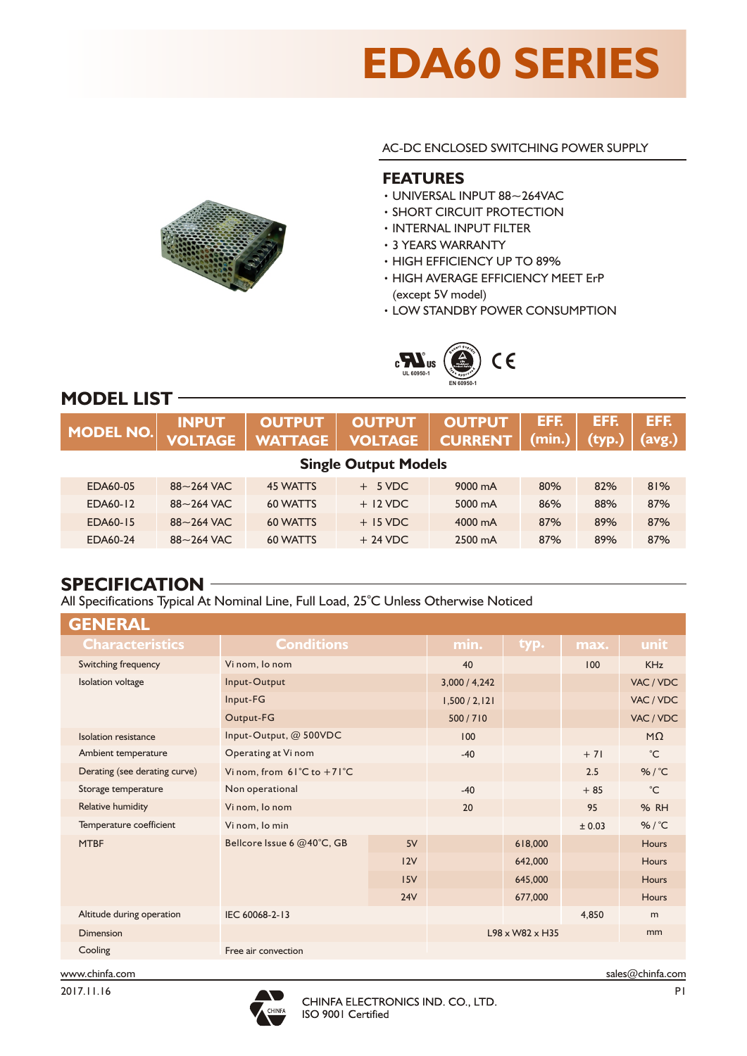# **EDA60 SERIES**

AC-DC ENCLOSED SWITCHING POWER SUPPLY

#### **FEATURES**

- ‧UNIVERSAL INPUT 88~264VAC
- ‧SHORT CIRCUIT PROTECTION
- ‧INTERNAL INPUT FILTER
- ‧3 YEARS WARRANTY
- ‧HIGH EFFICIENCY UP TO 89%
- ‧HIGH AVERAGE EFFICIENCY MEET ErP (except 5V model)
- ‧LOW STANDBY POWER CONSUMPTION



# **MODEL LIST**

| <b>MODEL NO.</b>            | <b>INPUT</b><br><b>VOLTAGE</b> | <b>OUTPUT</b><br><b>WATTAGE</b> | <b>OUTPUT</b><br>VOLTAGE | <b>OUTPUT</b><br><b>CURRENT</b> | EFF.<br>(min.) | EFF.<br>(typ. | EFF.<br>(avg.) |
|-----------------------------|--------------------------------|---------------------------------|--------------------------|---------------------------------|----------------|---------------|----------------|
| <b>Single Output Models</b> |                                |                                 |                          |                                 |                |               |                |
| EDA60-05                    | $88 - 264$ VAC                 | 45 WATTS                        | 5 VDC                    | 9000 mA                         | 80%            | 82%           | 81%            |
| EDA60-12                    | $88 - 264$ VAC                 | 60 WATTS                        | $+12$ VDC                | 5000 mA                         | 86%            | 88%           | 87%            |
| EDA60-15                    | $88 - 264$ VAC                 | 60 WATTS                        | $+$ 15 VDC               | 4000 mA                         | 87%            | 89%           | 87%            |
| EDA60-24                    | $88 - 264$ VAC                 | 60 WATTS                        | $+24$ VDC                | 2500 mA                         | 87%            | 89%           | 87%            |

#### **SPECIFICATION**

All Specifications Typical At Nominal Line, Full Load, 25°C Unless Otherwise Noticed

| <b>GENERAL</b>                |                                                |     |               |                             |        |                |
|-------------------------------|------------------------------------------------|-----|---------------|-----------------------------|--------|----------------|
| <b>Characteristics</b>        | <b>Conditions</b>                              |     | min.          | typ.                        | max.   | unit           |
| Switching frequency           | Vi nom, lo nom                                 |     | 40            |                             | 100    | <b>KHz</b>     |
| <b>Isolation voltage</b>      | Input-Output                                   |     |               |                             |        | VAC / VDC      |
|                               | Input-FG                                       |     | 1,500 / 2,121 |                             |        | VAC / VDC      |
|                               | Output-FG                                      |     | 500/710       |                             |        | VAC / VDC      |
| Isolation resistance          | Input-Output, @ 500VDC                         |     | 100           |                             |        | $M\Omega$      |
| Ambient temperature           | Operating at Vi nom                            |     | $-40$         |                             | $+71$  | $^{\circ}$ C   |
| Derating (see derating curve) | Vi nom. from $61^{\circ}$ C to $+71^{\circ}$ C |     |               |                             | 2.5    | %/ $\degree$ C |
| Storage temperature           | Non operational                                |     | $-40$         |                             | $+85$  | $^{\circ}$ C   |
| Relative humidity             | Vi nom, lo nom                                 |     | 20            |                             | 95     | <b>% RH</b>    |
| Temperature coefficient       | Vi nom, lo min                                 |     |               |                             | ± 0.03 | %/ $\degree$ C |
| <b>MTBF</b>                   | Bellcore Issue 6 @40°C, GB                     | 5V  |               | 618,000                     |        | <b>Hours</b>   |
|                               |                                                | 12V |               | 642,000                     |        | <b>Hours</b>   |
|                               |                                                | 15V |               | 645,000                     |        | <b>Hours</b>   |
|                               |                                                | 24V |               | 677,000                     |        | <b>Hours</b>   |
| Altitude during operation     | IEC 60068-2-13                                 |     |               |                             | 4.850  | m              |
| Dimension                     |                                                |     |               | $L98 \times W82 \times H35$ |        | mm             |
| Cooling                       | Free air convection                            |     |               |                             |        |                |





www.chinfa.com sales@chinfa.com sales@chinfa.com sales@chinfa.com sales@chinfa.com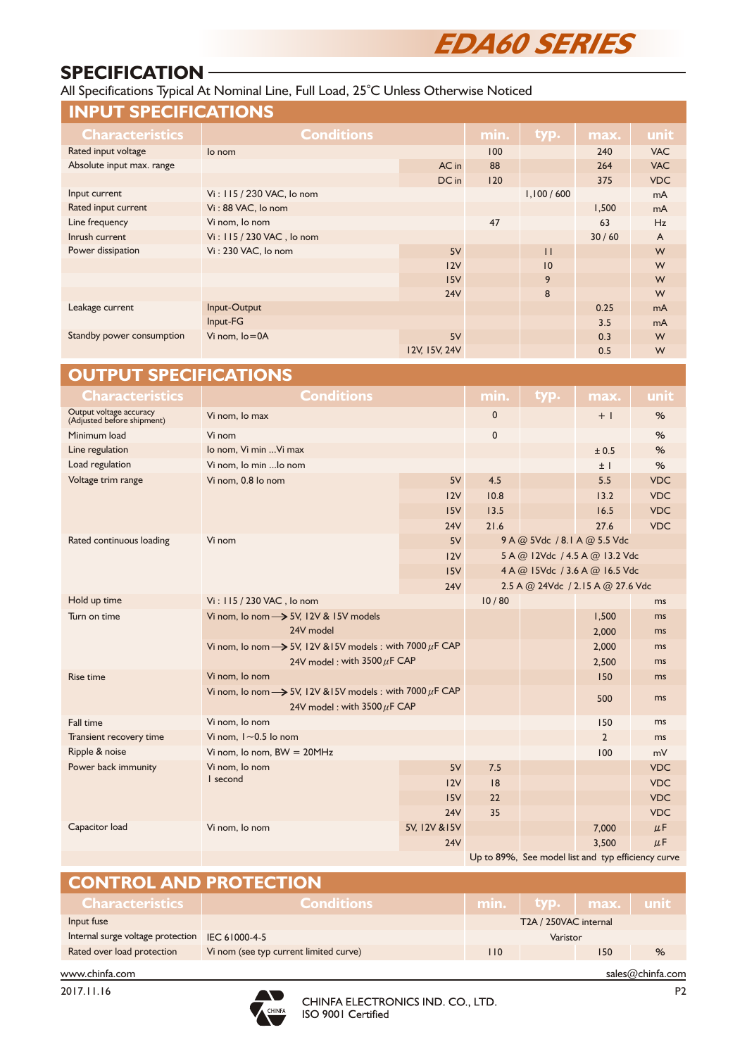# **EDA60 SERIES**

### **SPECIFICATION**

All Specifications Typical At Nominal Line, Full Load, 25°C Unless Otherwise Noticed

| <b>Conditions</b><br>Characteristics<br>typ.<br>min.<br>unit<br>max.<br>Rated input voltage<br>100<br>lo nom<br>240<br><b>VAC</b><br>Absolute input max. range<br>AC in<br>88<br>264<br><b>VAC</b><br>DC in<br>120<br>375<br><b>VDC</b><br>Vi: 115 / 230 VAC, lo nom<br>1,100/600<br>Input current<br>mA<br>Rated input current<br>Vi: 88 VAC, lo nom<br>1,500<br>mA<br>Line frequency<br>Vi nom, lo nom<br>47<br>63<br>Hz<br>Vi: 115 / 230 VAC, lo nom<br>30/60<br>Inrush current<br>A<br>Power dissipation<br>Vi: 230 VAC, lo nom<br>5V<br>$\mathbf{H}$<br>W<br>W<br>12V<br>10<br>15V<br>9<br>W<br>24V<br>8<br>W<br>Input-Output<br>Leakage current<br>0.25<br>mA<br>Input-FG<br>3.5<br>mA<br>Standby power consumption<br>Vi nom, lo=0A<br>5V<br>0.3<br>W<br>12V, 15V, 24V<br>0.5<br>W<br><b>OUTPUT SPECIFICATIONS</b><br><b>Conditions</b><br><b>Characteristics</b><br>min.<br>typ.<br>max.<br>unit |
|----------------------------------------------------------------------------------------------------------------------------------------------------------------------------------------------------------------------------------------------------------------------------------------------------------------------------------------------------------------------------------------------------------------------------------------------------------------------------------------------------------------------------------------------------------------------------------------------------------------------------------------------------------------------------------------------------------------------------------------------------------------------------------------------------------------------------------------------------------------------------------------------------------|
|                                                                                                                                                                                                                                                                                                                                                                                                                                                                                                                                                                                                                                                                                                                                                                                                                                                                                                          |
|                                                                                                                                                                                                                                                                                                                                                                                                                                                                                                                                                                                                                                                                                                                                                                                                                                                                                                          |
|                                                                                                                                                                                                                                                                                                                                                                                                                                                                                                                                                                                                                                                                                                                                                                                                                                                                                                          |
|                                                                                                                                                                                                                                                                                                                                                                                                                                                                                                                                                                                                                                                                                                                                                                                                                                                                                                          |
|                                                                                                                                                                                                                                                                                                                                                                                                                                                                                                                                                                                                                                                                                                                                                                                                                                                                                                          |
|                                                                                                                                                                                                                                                                                                                                                                                                                                                                                                                                                                                                                                                                                                                                                                                                                                                                                                          |
|                                                                                                                                                                                                                                                                                                                                                                                                                                                                                                                                                                                                                                                                                                                                                                                                                                                                                                          |
|                                                                                                                                                                                                                                                                                                                                                                                                                                                                                                                                                                                                                                                                                                                                                                                                                                                                                                          |
|                                                                                                                                                                                                                                                                                                                                                                                                                                                                                                                                                                                                                                                                                                                                                                                                                                                                                                          |
|                                                                                                                                                                                                                                                                                                                                                                                                                                                                                                                                                                                                                                                                                                                                                                                                                                                                                                          |
|                                                                                                                                                                                                                                                                                                                                                                                                                                                                                                                                                                                                                                                                                                                                                                                                                                                                                                          |
|                                                                                                                                                                                                                                                                                                                                                                                                                                                                                                                                                                                                                                                                                                                                                                                                                                                                                                          |
|                                                                                                                                                                                                                                                                                                                                                                                                                                                                                                                                                                                                                                                                                                                                                                                                                                                                                                          |
|                                                                                                                                                                                                                                                                                                                                                                                                                                                                                                                                                                                                                                                                                                                                                                                                                                                                                                          |
|                                                                                                                                                                                                                                                                                                                                                                                                                                                                                                                                                                                                                                                                                                                                                                                                                                                                                                          |
|                                                                                                                                                                                                                                                                                                                                                                                                                                                                                                                                                                                                                                                                                                                                                                                                                                                                                                          |
|                                                                                                                                                                                                                                                                                                                                                                                                                                                                                                                                                                                                                                                                                                                                                                                                                                                                                                          |
|                                                                                                                                                                                                                                                                                                                                                                                                                                                                                                                                                                                                                                                                                                                                                                                                                                                                                                          |
| Output voltage accuracy<br>(Adjusted before shipment)<br>Vi nom, lo max<br>0<br>$+1$<br>%                                                                                                                                                                                                                                                                                                                                                                                                                                                                                                                                                                                                                                                                                                                                                                                                                |
| 0<br>%<br>Minimum load<br>Vi nom                                                                                                                                                                                                                                                                                                                                                                                                                                                                                                                                                                                                                                                                                                                                                                                                                                                                         |
| Line regulation<br>lo nom, Vi min  Vi max<br>%<br>± 0.5                                                                                                                                                                                                                                                                                                                                                                                                                                                                                                                                                                                                                                                                                                                                                                                                                                                  |
| Load regulation<br>Vi nom, lo min  lo nom<br>%<br>$±$                                                                                                                                                                                                                                                                                                                                                                                                                                                                                                                                                                                                                                                                                                                                                                                                                                                    |
| Voltage trim range<br>5V<br><b>VDC</b><br>4.5<br>5.5<br>Vi nom, 0.8 lo nom                                                                                                                                                                                                                                                                                                                                                                                                                                                                                                                                                                                                                                                                                                                                                                                                                               |
| 12V<br>10.8<br>13.2<br><b>VDC</b>                                                                                                                                                                                                                                                                                                                                                                                                                                                                                                                                                                                                                                                                                                                                                                                                                                                                        |
| 15V<br>13.5<br>16.5<br><b>VDC</b>                                                                                                                                                                                                                                                                                                                                                                                                                                                                                                                                                                                                                                                                                                                                                                                                                                                                        |
| <b>VDC</b><br>24V<br>21.6<br>27.6                                                                                                                                                                                                                                                                                                                                                                                                                                                                                                                                                                                                                                                                                                                                                                                                                                                                        |
| Rated continuous loading<br>5V<br>9 A @ 5Vdc / 8.1 A @ 5.5 Vdc<br>Vi nom                                                                                                                                                                                                                                                                                                                                                                                                                                                                                                                                                                                                                                                                                                                                                                                                                                 |
| 5 A @ 12Vdc / 4.5 A @ 13.2 Vdc<br>12V                                                                                                                                                                                                                                                                                                                                                                                                                                                                                                                                                                                                                                                                                                                                                                                                                                                                    |
| 4 A @ 15Vdc / 3.6 A @ 16.5 Vdc<br>15V                                                                                                                                                                                                                                                                                                                                                                                                                                                                                                                                                                                                                                                                                                                                                                                                                                                                    |
| 24V<br>2.5 A @ 24Vdc / 2.15 A @ 27.6 Vdc                                                                                                                                                                                                                                                                                                                                                                                                                                                                                                                                                                                                                                                                                                                                                                                                                                                                 |
| Hold up time<br>Vi: 115 / 230 VAC, lo nom<br>10/80<br>ms                                                                                                                                                                                                                                                                                                                                                                                                                                                                                                                                                                                                                                                                                                                                                                                                                                                 |
| Vi nom, lo nom -> 5V, 12V & 15V models<br>Turn on time<br>1,500<br>ms                                                                                                                                                                                                                                                                                                                                                                                                                                                                                                                                                                                                                                                                                                                                                                                                                                    |
| 24V model<br>2,000<br>ms                                                                                                                                                                                                                                                                                                                                                                                                                                                                                                                                                                                                                                                                                                                                                                                                                                                                                 |
| Vi nom, Io nom $\rightarrow$ 5V, 12V & 15V models : with 7000 $\mu$ F CAP<br>2,000<br>ms                                                                                                                                                                                                                                                                                                                                                                                                                                                                                                                                                                                                                                                                                                                                                                                                                 |
| 24V model: with $3500 \mu$ F CAP<br>2,500<br>ms                                                                                                                                                                                                                                                                                                                                                                                                                                                                                                                                                                                                                                                                                                                                                                                                                                                          |
| Vi nom, lo nom<br>150<br><b>Rise time</b><br>ms                                                                                                                                                                                                                                                                                                                                                                                                                                                                                                                                                                                                                                                                                                                                                                                                                                                          |
| Vi nom, Io nom $\rightarrow$ 5V, 12V & 15V models : with 7000 $\mu$ F CAP                                                                                                                                                                                                                                                                                                                                                                                                                                                                                                                                                                                                                                                                                                                                                                                                                                |
| 500<br>ms<br>24V model: with $3500 \mu$ F CAP                                                                                                                                                                                                                                                                                                                                                                                                                                                                                                                                                                                                                                                                                                                                                                                                                                                            |
| Vi nom, lo nom<br>Fall time<br>150<br>ms                                                                                                                                                                                                                                                                                                                                                                                                                                                                                                                                                                                                                                                                                                                                                                                                                                                                 |
| Transient recovery time<br>Vi nom, $1 - 0.5$ lo nom<br>$\overline{2}$<br>ms                                                                                                                                                                                                                                                                                                                                                                                                                                                                                                                                                                                                                                                                                                                                                                                                                              |
| Ripple & noise<br>Vi nom, Io nom, $BW = 20MHz$<br>100<br>mV                                                                                                                                                                                                                                                                                                                                                                                                                                                                                                                                                                                                                                                                                                                                                                                                                                              |
| Power back immunity<br>Vi nom, lo nom<br>$5\textrm{V}$<br>7.5<br><b>VDC</b>                                                                                                                                                                                                                                                                                                                                                                                                                                                                                                                                                                                                                                                                                                                                                                                                                              |
| I second<br> 8<br><b>VDC</b><br>12V                                                                                                                                                                                                                                                                                                                                                                                                                                                                                                                                                                                                                                                                                                                                                                                                                                                                      |
| 15V<br>22<br><b>VDC</b>                                                                                                                                                                                                                                                                                                                                                                                                                                                                                                                                                                                                                                                                                                                                                                                                                                                                                  |
| 35<br><b>24V</b><br><b>VDC</b>                                                                                                                                                                                                                                                                                                                                                                                                                                                                                                                                                                                                                                                                                                                                                                                                                                                                           |
| Capacitor load<br>5V, 12V & 15V<br>$\mu$ F<br>Vi nom, lo nom<br>7,000                                                                                                                                                                                                                                                                                                                                                                                                                                                                                                                                                                                                                                                                                                                                                                                                                                    |
| 3,500<br>$\mu$ F<br>24V                                                                                                                                                                                                                                                                                                                                                                                                                                                                                                                                                                                                                                                                                                                                                                                                                                                                                  |

| <b>CONTROL AND PROTECTION</b>                   |                                        |     |                               |     |   |
|-------------------------------------------------|----------------------------------------|-----|-------------------------------|-----|---|
| <b>Characteristics</b>                          | <b>Conditions</b>                      |     | $min.$   typ.   $max.$   unit |     |   |
| Input fuse                                      |                                        |     | T2A / 250VAC internal         |     |   |
| Internal surge voltage protection IEC 61000-4-5 |                                        |     | Varistor                      |     |   |
| Rated over load protection                      | Vi nom (see typ current limited curve) | 110 |                               | 150 | % |

2017.11.16



www.chinfa.com sales@chinfa.com sales@chinfa.com

Up to 89%, See model list and typ efficiency curve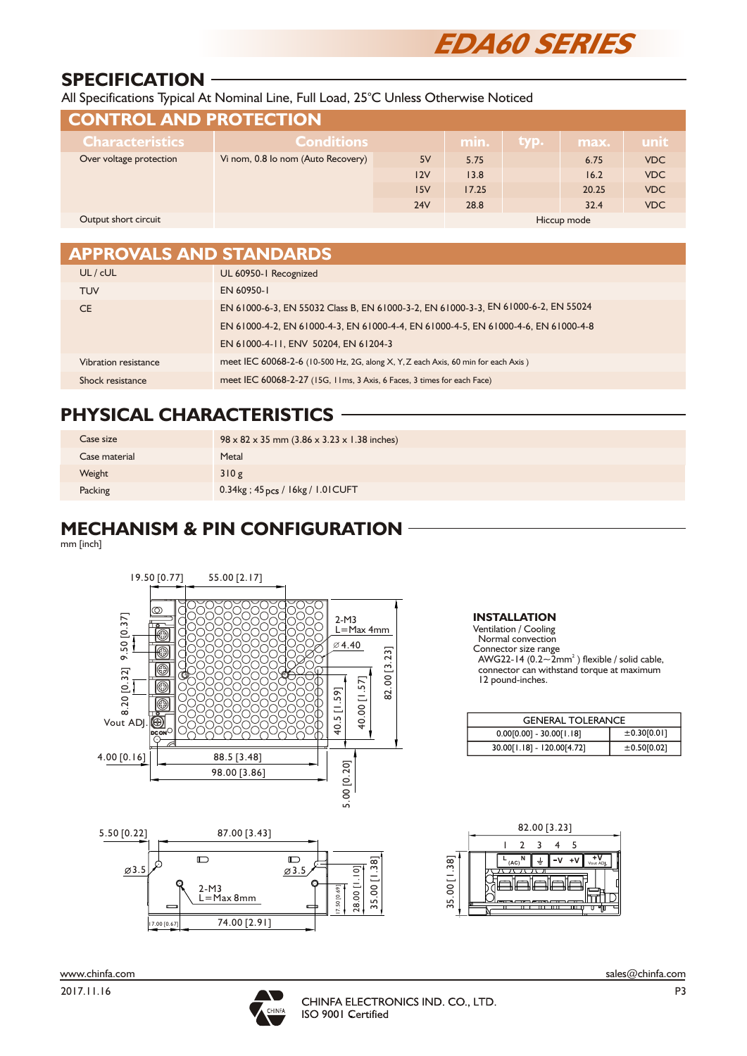

# **SPECIFICATION**

All Specifications Typical At Nominal Line, Full Load, 25°C Unless Otherwise Noticed

| <b>CONTROL AND PROTECTION</b>                                 |                   |     |       |      |             |            |  |
|---------------------------------------------------------------|-------------------|-----|-------|------|-------------|------------|--|
| <b>Characteristics</b>                                        | <b>Conditions</b> |     | min.  | typ. | max.        | unit       |  |
| Vi nom, 0.8 lo nom (Auto Recovery)<br>Over voltage protection |                   | 5V  | 5.75  |      | 6.75        | <b>VDC</b> |  |
|                                                               |                   | 12V | 13.8  |      | 16.2        | <b>VDC</b> |  |
|                                                               |                   | 15V | 17.25 |      | 20.25       | <b>VDC</b> |  |
|                                                               |                   | 24V | 28.8  |      | 32.4        | <b>VDC</b> |  |
| Output short circuit                                          |                   |     |       |      | Hiccup mode |            |  |

| <b>APPROVALS AND STANDARDS</b> |                                                                                    |
|--------------------------------|------------------------------------------------------------------------------------|
| UL/cUL                         | UL 60950-1 Recognized                                                              |
| <b>TUV</b>                     | EN 60950-1                                                                         |
| <b>CE</b>                      | EN 61000-6-3, EN 55032 Class B, EN 61000-3-2, EN 61000-3-3, EN 61000-6-2, EN 55024 |
|                                | EN 61000-4-2, EN 61000-4-3, EN 61000-4-4, EN 61000-4-5, EN 61000-4-6, EN 61000-4-8 |
|                                | EN 61000-4-11, ENV 50204, EN 61204-3                                               |
| Vibration resistance           | meet IEC 60068-2-6 (10-500 Hz, 2G, along X, Y, Z each Axis, 60 min for each Axis)  |
| Shock resistance               | meet IEC 60068-2-27 (15G, 11ms, 3 Axis, 6 Faces, 3 times for each Face)            |

# **PHYSICAL CHARACTERISTICS**

| Case size     | $98 \times 82 \times 35$ mm (3.86 x 3.23 x 1.38 inches) |
|---------------|---------------------------------------------------------|
| Case material | Metal                                                   |
| Weight        | 310g                                                    |
| Packing       | 0.34kg; 45 pcs / 16kg / 1.01 CUFT                       |

# **MECHANISM & PIN CONFIGURATION**

mm [inch]





**INSTALLATION**

Ventilation / Cooling Normal convection Connector size range<br>AWG22-14 (0.2~2mm<sup>2</sup>) flexible / solid cable, connector can withstand torque at maximum 12 pound-inches.

| <b>GENERAL TOLERANCE</b>   |             |  |  |  |
|----------------------------|-------------|--|--|--|
| $0.00[0.00] - 30.00[1.18]$ | ±0.30[0.01] |  |  |  |
| 30.00[1.18] - 120.00[4.72] | ±0.50[0.02] |  |  |  |